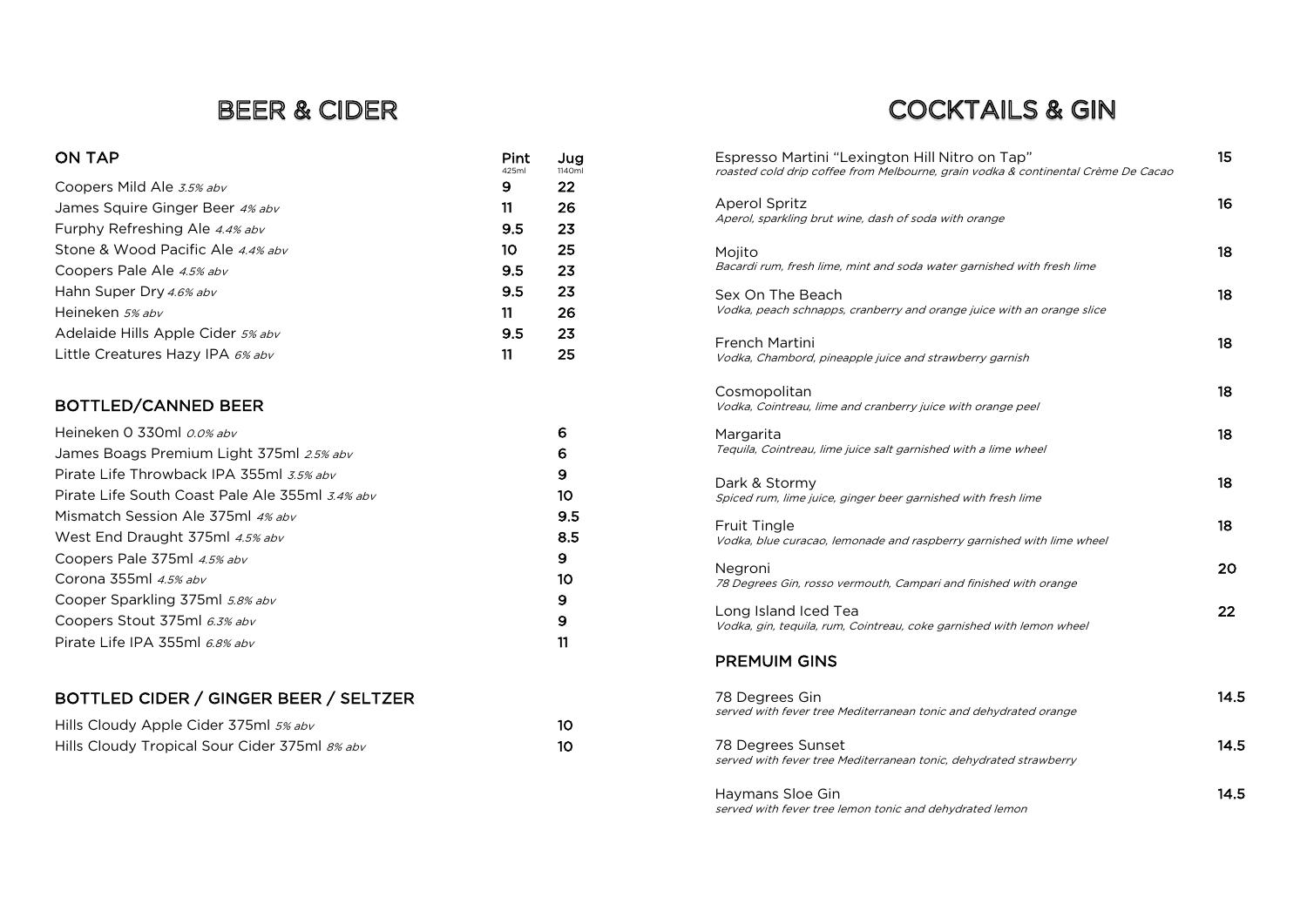### **BEER & CIDER**

### $\begin{array}{ccc} \textsf{ON} \textsf{ TAP} & \textsf{1140m} \ \textsf{1140m} & & \textsf{1140m} \end{array}$ Coopers Mild Ale 3.5% abv 9 22 James Squire Ginger Beer 4% abv 11 26 Furphy Refreshing Ale 4.4% abv **9.5** 23 Stone & Wood Pacific Ale 4.4% abv 10 25 Coopers Pale Ale 4.5% abv 9.5 23 Hahn Super Dry 4.6% abv 9.5 23 Heineken 5% abv 11 26 Adelaide Hills Apple Cider 5% abv 9.5 23 Little Creatures Hazy IPA  $6\%$  abv 11 25

### BOTTLED/CANNED BEER

| Heineken 0 330ml 0.0% abv                       | 6   |
|-------------------------------------------------|-----|
| James Boags Premium Light 375ml 2.5% abv        | 6   |
| Pirate Life Throwback IPA 355ml 3.5% abv        | 9   |
| Pirate Life South Coast Pale Ale 355ml 3.4% abv | 10  |
| Mismatch Session Ale 375ml 4% abv               | 9.5 |
| West End Draught 375ml 4.5% abv                 | 8.5 |
| Coopers Pale 375ml 4.5% abv                     | 9   |
| Corona 355ml $4.5\%$ abv                        | 10  |
| Cooper Sparkling 375ml 5.8% abv                 | 9   |
| Coopers Stout 375ml 6.3% abv                    | 9   |
| Pirate Life IPA 355ml 6.8% abv                  | 11  |

### BOTTLED CIDER / GINGER BEER / SELTZER

| Hills Cloudy Apple Cider 375ml 5% abv         |  |
|-----------------------------------------------|--|
| Hills Cloudy Tropical Sour Cider 375ml 8% abv |  |

# **COCKTAILS & GIN**

| Espresso Martini "Lexington Hill Nitro on Tap"<br>roasted cold drip coffee from Melbourne, grain vodka & continental Crème De Cacao | 15   |
|-------------------------------------------------------------------------------------------------------------------------------------|------|
| <b>Aperol Spritz</b><br>Aperol, sparkling brut wine, dash of soda with orange                                                       | 16   |
| Mojito<br>Bacardi rum, fresh lime, mint and soda water garnished with fresh lime                                                    | 18   |
| Sex On The Beach<br>Vodka, peach schnapps, cranberry and orange juice with an orange slice                                          | 18   |
| <b>French Martini</b><br>Vodka, Chambord, pineapple juice and strawberry garnish                                                    | 18   |
| Cosmopolitan<br>Vodka, Cointreau, lime and cranberry juice with orange peel                                                         | 18   |
| Margarita<br>Tequila, Cointreau, lime juice salt garnished with a lime wheel                                                        | 18   |
| Dark & Stormy<br>Spiced rum, lime juice, ginger beer garnished with fresh lime                                                      | 18   |
| <b>Fruit Tingle</b><br>Vodka, blue curacao, lemonade and raspberry garnished with lime wheel                                        | 18   |
| Negroni<br>78 Degrees Gin, rosso vermouth, Campari and finished with orange                                                         | 20   |
| Long Island Iced Tea<br>Vodka, gin, tequila, rum, Cointreau, coke garnished with lemon wheel                                        | 22   |
| <b>PREMUIM GINS</b>                                                                                                                 |      |
| 78 Degrees Gin<br>served with fever tree Mediterranean tonic and dehydrated orange                                                  | 14.5 |
| 78 Degrees Sunset<br>served with fever tree Mediterranean tonic, dehydrated strawberry                                              | 14.5 |
| Haymans Sloe Gin<br>served with fever tree lemon tonic and dehydrated lemon                                                         | 14.5 |